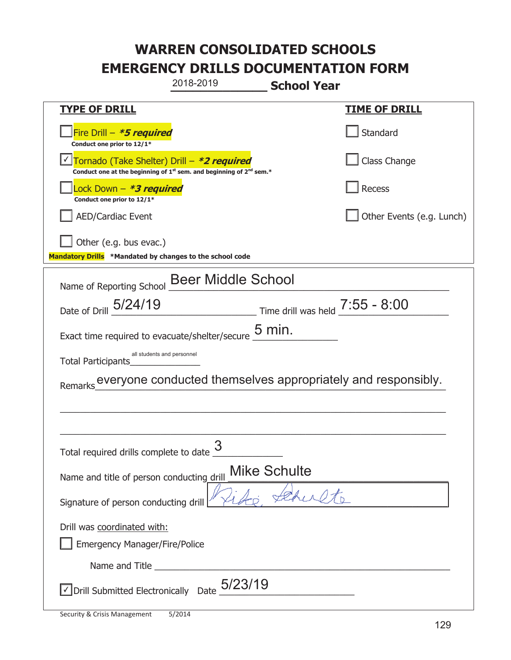| 2018-2019                                                                                                                                 | <b>School Year</b>                |
|-------------------------------------------------------------------------------------------------------------------------------------------|-----------------------------------|
| <u>TYPE OF DRILL</u>                                                                                                                      | <u>TIME OF DRILL</u>              |
| Fire Drill – <i>*<b>5 required</b></i><br>Conduct one prior to 12/1*                                                                      | Standard                          |
| Tornado (Take Shelter) Drill – *2 required<br>Conduct one at the beginning of 1 <sup>st</sup> sem. and beginning of 2 <sup>nd</sup> sem.* | Class Change                      |
| Lock Down – <b>*<i>3 required</i></b><br>Conduct one prior to 12/1*                                                                       | Recess                            |
| <b>AED/Cardiac Event</b>                                                                                                                  | Other Events (e.g. Lunch)         |
| Other (e.g. bus evac.)<br>Mandatory Drills *Mandated by changes to the school code                                                        |                                   |
| <b>Beer Middle School</b><br>Name of Reporting School                                                                                     |                                   |
| Date of Drill 5/24/19                                                                                                                     | Time drill was held $7:55 - 8:00$ |
| $5$ min.<br>Exact time required to evacuate/shelter/secure                                                                                |                                   |
| all students and personnel<br>Total Participants                                                                                          |                                   |
| everyone conducted themselves appropriately and responsibly.<br>Remarks                                                                   |                                   |
|                                                                                                                                           |                                   |
|                                                                                                                                           |                                   |
| 3<br>Total required drills complete to date                                                                                               |                                   |
| <b>Mike Schulte</b><br>Name and title of person conducting drill                                                                          |                                   |
| Signature of person conducting drill                                                                                                      |                                   |
| Drill was coordinated with:<br><b>Emergency Manager/Fire/Police</b>                                                                       |                                   |
|                                                                                                                                           |                                   |
| JDrill Submitted Electronically Date $5/23/19$                                                                                            |                                   |

t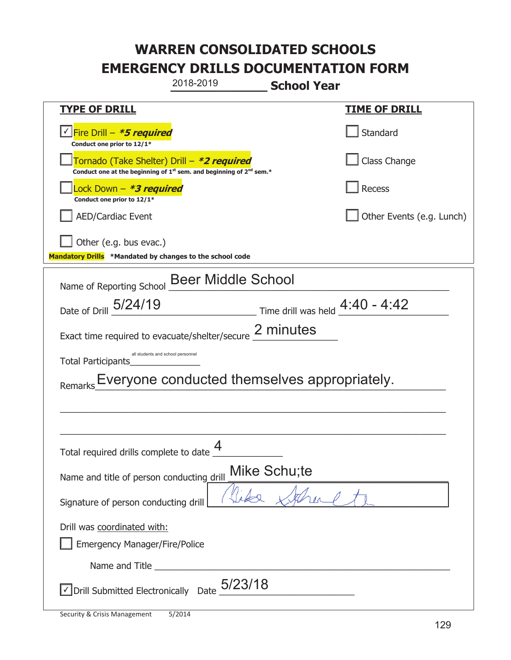|                                                                                    | 2018-2019                                                                                                                   | <b>School Year</b>                |                           |
|------------------------------------------------------------------------------------|-----------------------------------------------------------------------------------------------------------------------------|-----------------------------------|---------------------------|
| <u>TYPE OF DRILL</u>                                                               |                                                                                                                             |                                   | <u>TIME OF DRILL</u>      |
| <u>√ Fire Drill – <i>*5 required</i></u><br>Conduct one prior to 12/1*             |                                                                                                                             |                                   | Standard                  |
|                                                                                    | Tornado (Take Shelter) Drill – *2 required<br>Conduct one at the beginning of $1^{st}$ sem. and beginning of $2^{nd}$ sem.* |                                   | Class Change              |
| ock Down - <b>*3 required</b><br>Conduct one prior to 12/1*                        |                                                                                                                             |                                   | Recess                    |
| <b>AED/Cardiac Event</b>                                                           |                                                                                                                             |                                   | Other Events (e.g. Lunch) |
| Other (e.g. bus evac.)<br>Mandatory Drills *Mandated by changes to the school code |                                                                                                                             |                                   |                           |
| Name of Reporting School                                                           | <b>Beer Middle School</b>                                                                                                   |                                   |                           |
| Date of Drill 5/24/19                                                              |                                                                                                                             | Time drill was held $4:40 - 4:42$ |                           |
| 2 minutes<br>Exact time required to evacuate/shelter/secure                        |                                                                                                                             |                                   |                           |
| Total Participants                                                                 | all students and school personnel                                                                                           |                                   |                           |
|                                                                                    | Everyone conducted themselves appropriately.                                                                                |                                   |                           |
|                                                                                    |                                                                                                                             |                                   |                           |
|                                                                                    |                                                                                                                             |                                   |                           |
| Total required drills complete to date                                             | 4                                                                                                                           |                                   |                           |
| Name and title of person conducting drill                                          |                                                                                                                             | Mike Schu;te                      |                           |
| Signature of person conducting drill                                               |                                                                                                                             |                                   |                           |
| Drill was coordinated with:<br><b>Emergency Manager/Fire/Police</b>                |                                                                                                                             |                                   |                           |
|                                                                                    |                                                                                                                             |                                   |                           |
| Drill Submitted Electronically Date                                                | 5/23/18                                                                                                                     |                                   |                           |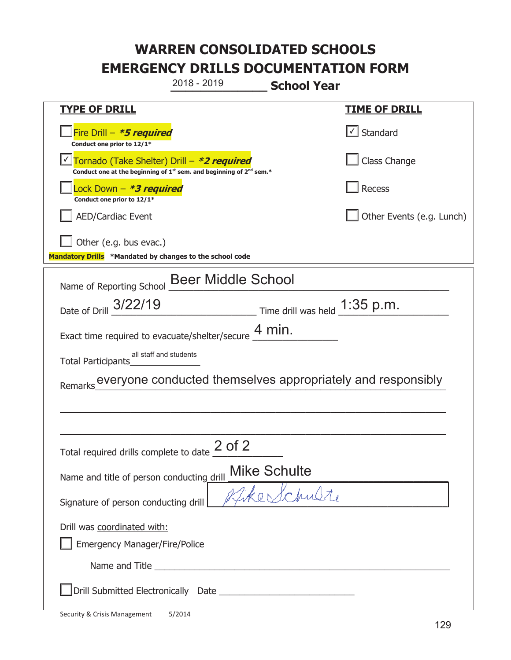**\_\_\_\_\_\_\_\_\_\_\_\_\_ School Year TYPE OF DRILL TIME OF DRILL**  侊Fire Drill – **\*5 required Conduct one prior to 12/1\***   $\boxed{\checkmark}$  Standard 侊Tornado (Take Shelter) Drill – **\*2 required** ✔ **Conduct one at the beginning of 1<sup>st</sup> sem. and beginning of 2<sup>nd</sup> sem.\*** Class Change 侊Lock Down – **\*3 required Conduct one prior to 12/1\* Recess** AED/Cardiac Event **AED/Cardiac Event Network Network Network Network Network Network Network Network Network Network Network Network Network Network Network Network Network Network Net** Other (e.g. bus evac.) **Mandatory Drills \*Mandated by changes to the school code**  Name of Reporting School Beer Middle School Date of Drill  $\frac{3/22/19}{\sqrt{2}}$  Time drill was held  $\frac{1:35 \text{ p.m.}}{\sqrt{2}}$ Exact time required to evacuate/shelter/secure  $\frac{4 \text{ min.}}{4 \text{ min.}}$ Total Participants\_\_\_\_\_\_\_\_\_\_\_\_\_\_ Remarks everyone conducted themselves appropriately and responsibly  $\_$  , and the set of the set of the set of the set of the set of the set of the set of the set of the set of the set of the set of the set of the set of the set of the set of the set of the set of the set of the set of th \_\_\_\_\_\_\_\_\_\_\_\_\_\_\_\_\_\_\_\_\_\_\_\_\_\_\_\_\_\_\_\_\_\_\_\_\_\_\_\_\_\_\_\_\_\_\_\_\_\_\_\_\_\_\_\_\_\_\_\_\_\_\_\_\_\_\_\_\_\_\_\_\_\_\_\_\_ Total required drills complete to date  $\frac{2 \text{ of } 2}{}$ Name and title of person conducting drill Mike Schulte Signature of person conducting drill  $\sqrt{4\pi}$ e Schulte Drill was coordinated with: ܆ Emergency Manager/Fire/Police Name and Title <u>and the set of the set of the set of the set of the set of the set of the set of the set of the set of the set of the set of the set of the set of the set of the set of the set of the set of the set of the </u> ܆Drill Submitted Electronically Date \_\_\_\_\_\_\_\_\_\_\_\_\_\_\_\_\_\_\_\_\_\_\_\_\_\_\_ 2018 - 2019 all staff and students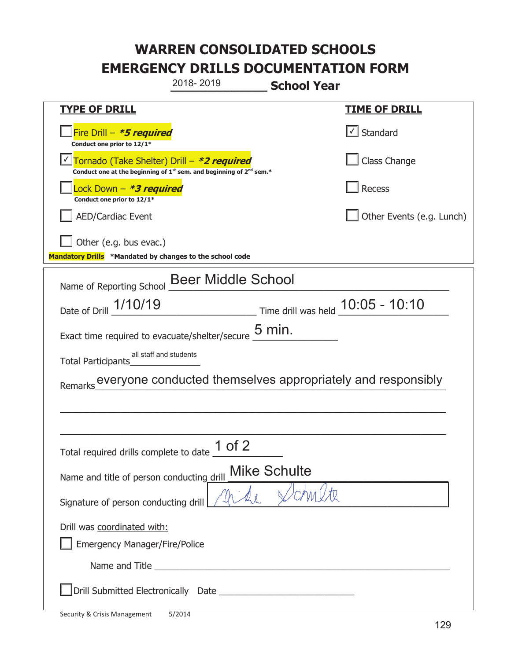|                                                                                                                             | 2018-2019                 | <b>School Year</b>  |                                                             |
|-----------------------------------------------------------------------------------------------------------------------------|---------------------------|---------------------|-------------------------------------------------------------|
| <b>TYPE OF DRILL</b>                                                                                                        |                           |                     | <b>TIME OF DRILL</b>                                        |
| Fire Drill - *5 required<br>Conduct one prior to 12/1*                                                                      |                           |                     | √ Standard                                                  |
| Tornado (Take Shelter) Drill - *2 required<br>Conduct one at the beginning of $1^{st}$ sem. and beginning of $2^{nd}$ sem.* |                           |                     | Class Change                                                |
| ock Down - <b>*3 required</b><br>Conduct one prior to 12/1*                                                                 |                           |                     | Recess                                                      |
| <b>AED/Cardiac Event</b>                                                                                                    |                           |                     | Other Events (e.g. Lunch)                                   |
| Other (e.g. bus evac.)<br>Mandatory Drills *Mandated by changes to the school code                                          |                           |                     |                                                             |
| Name of Reporting School                                                                                                    | <b>Beer Middle School</b> |                     |                                                             |
| Date of Drill 1/10/19                                                                                                       |                           |                     | Time drill was held 10:05 - 10:10                           |
| Exact time required to evacuate/shelter/secure $5$ min.                                                                     |                           |                     |                                                             |
| all staff and students<br>Total Participants                                                                                |                           |                     |                                                             |
| Remarks                                                                                                                     |                           |                     | everyone conducted themselves appropriately and responsibly |
|                                                                                                                             |                           |                     |                                                             |
|                                                                                                                             |                           |                     |                                                             |
| Total required drills complete to date 1 of 2                                                                               |                           |                     |                                                             |
| Name and title of person conducting drill                                                                                   |                           | <b>Mike Schulte</b> |                                                             |
| Signature of person conducting drill                                                                                        |                           |                     |                                                             |
| Drill was coordinated with:                                                                                                 |                           |                     |                                                             |
| <b>Emergency Manager/Fire/Police</b>                                                                                        |                           |                     |                                                             |
|                                                                                                                             |                           |                     |                                                             |
|                                                                                                                             |                           |                     |                                                             |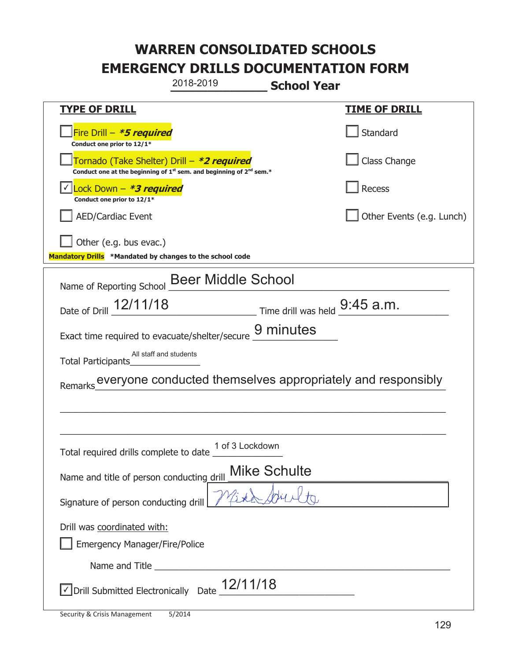| 2018-2019                                                                                                                                 | <b>School Year</b>                                          |
|-------------------------------------------------------------------------------------------------------------------------------------------|-------------------------------------------------------------|
| <b>TYPE OF DRILL</b>                                                                                                                      | <u>TIME OF DRILL</u>                                        |
| Fire Drill – <i>*<b>5 required</b></i><br>Conduct one prior to 12/1*                                                                      | Standard                                                    |
| Tornado (Take Shelter) Drill – *2 required<br>Conduct one at the beginning of 1 <sup>st</sup> sem. and beginning of 2 <sup>nd</sup> sem.* | Class Change                                                |
| Lock Down $-$ <b>*3 required</b><br>Conduct one prior to 12/1*                                                                            | Recess                                                      |
| <b>AED/Cardiac Event</b>                                                                                                                  | Other Events (e.g. Lunch)                                   |
| Other (e.g. bus evac.)<br>Mandatory Drills *Mandated by changes to the school code                                                        |                                                             |
| Name of Reporting School Beer Middle School                                                                                               |                                                             |
| Date of Drill $\frac{12/11/18}{2}$ Time drill was held $\frac{9:45}{2}$ a.m.                                                              |                                                             |
| Exact time required to evacuate/shelter/secure 9 minutes                                                                                  |                                                             |
| All staff and students<br>Total Participants                                                                                              |                                                             |
| Remarks                                                                                                                                   | everyone conducted themselves appropriately and responsibly |
|                                                                                                                                           |                                                             |
|                                                                                                                                           |                                                             |
| 1 of 3 Lockdown<br>Total required drills complete to date                                                                                 |                                                             |
| Name and title of person conducting drill                                                                                                 | <b>Mike Schulte</b>                                         |
| Signature of person conducting drill                                                                                                      |                                                             |
| Drill was coordinated with:                                                                                                               |                                                             |
| <b>Emergency Manager/Fire/Police</b>                                                                                                      |                                                             |
|                                                                                                                                           |                                                             |
| $\vee$ Drill Submitted Electronically Date $\frac{12}{111}$                                                                               |                                                             |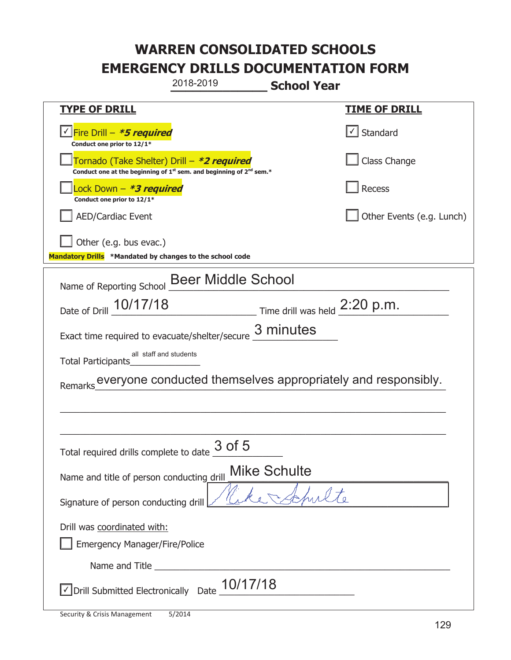| 2018-2019                                                                                                                                 | <b>School Year</b>                                           |
|-------------------------------------------------------------------------------------------------------------------------------------------|--------------------------------------------------------------|
| <b>TYPE OF DRILL</b>                                                                                                                      | <u>TIME OF DRILL</u>                                         |
| <u> √ Fire Drill – <i>*5 required</i></u><br>Conduct one prior to 12/1*                                                                   | $\lfloor \angle \rfloor$ Standard                            |
| Tornado (Take Shelter) Drill – *2 required<br>Conduct one at the beginning of 1 <sup>st</sup> sem. and beginning of 2 <sup>nd</sup> sem.* | Class Change                                                 |
| Lock Down – <b>*<i>3 required</i></b><br>Conduct one prior to 12/1*                                                                       | Recess                                                       |
| <b>AED/Cardiac Event</b>                                                                                                                  | Other Events (e.g. Lunch)                                    |
| Other (e.g. bus evac.)<br>Mandatory Drills *Mandated by changes to the school code                                                        |                                                              |
| Name of Reporting School Beer Middle School                                                                                               |                                                              |
| Date of Drill 10/17/18 Time drill was held 2:20 p.m.                                                                                      |                                                              |
| Exact time required to evacuate/shelter/secure                                                                                            | 3 minutes                                                    |
| all staff and students<br>Total Participants                                                                                              |                                                              |
| Remarks                                                                                                                                   | everyone conducted themselves appropriately and responsibly. |
|                                                                                                                                           |                                                              |
|                                                                                                                                           |                                                              |
| Total required drills complete to date $\frac{3 \text{ of } 5}{4}$                                                                        |                                                              |
| Name and title of person conducting drill                                                                                                 | <b>Mike Schulte</b>                                          |
| Signature of person conducting drill                                                                                                      |                                                              |
| Drill was coordinated with:                                                                                                               |                                                              |
| <b>Emergency Manager/Fire/Police</b>                                                                                                      |                                                              |
|                                                                                                                                           |                                                              |
| 10/17/18<br>Orill Submitted Electronically Date                                                                                           |                                                              |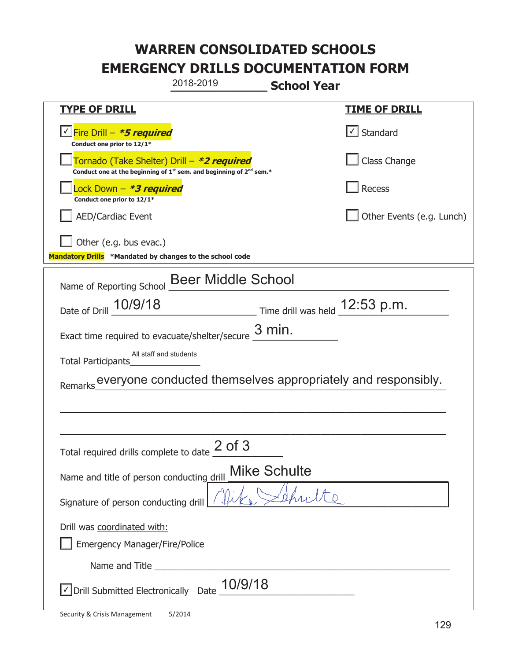| 2018-2019                                                                                                                                 | <b>School Year</b>                                           |
|-------------------------------------------------------------------------------------------------------------------------------------------|--------------------------------------------------------------|
| <b>TYPE OF DRILL</b>                                                                                                                      | <u>TIME OF DRILL</u>                                         |
| <u> √ Fire Drill – <b>*5 required</b></u><br>Conduct one prior to 12/1*                                                                   | $\lfloor \angle \rfloor$ Standard                            |
| Tornado (Take Shelter) Drill – *2 required<br>Conduct one at the beginning of 1 <sup>st</sup> sem. and beginning of 2 <sup>nd</sup> sem.* | Class Change                                                 |
| Lock Down – <b>*<i>3 required</i></b><br>Conduct one prior to 12/1*                                                                       | Recess                                                       |
| <b>AED/Cardiac Event</b>                                                                                                                  | Other Events (e.g. Lunch)                                    |
| Other (e.g. bus evac.)<br>Mandatory Drills *Mandated by changes to the school code                                                        |                                                              |
| Name of Reporting School Beer Middle School                                                                                               |                                                              |
| Date of Drill 10/9/18                                                                                                                     | $\frac{12.53 \text{ p.m.}}{2.53 \text{ p.m.}}$               |
| Exact time required to evacuate/shelter/secure                                                                                            | $3$ min.                                                     |
| All staff and students<br>Total Participants                                                                                              |                                                              |
| Remarks                                                                                                                                   | everyone conducted themselves appropriately and responsibly. |
|                                                                                                                                           |                                                              |
|                                                                                                                                           |                                                              |
| $2$ of $3$<br>Total required drills complete to date                                                                                      |                                                              |
| Name and title of person conducting drill                                                                                                 | <b>Mike Schulte</b>                                          |
| Signature of person conducting drill                                                                                                      |                                                              |
| Drill was coordinated with:                                                                                                               |                                                              |
| <b>Emergency Manager/Fire/Police</b>                                                                                                      |                                                              |
|                                                                                                                                           |                                                              |
| 10/9/18<br>√ Drill Submitted Electronically Date                                                                                          |                                                              |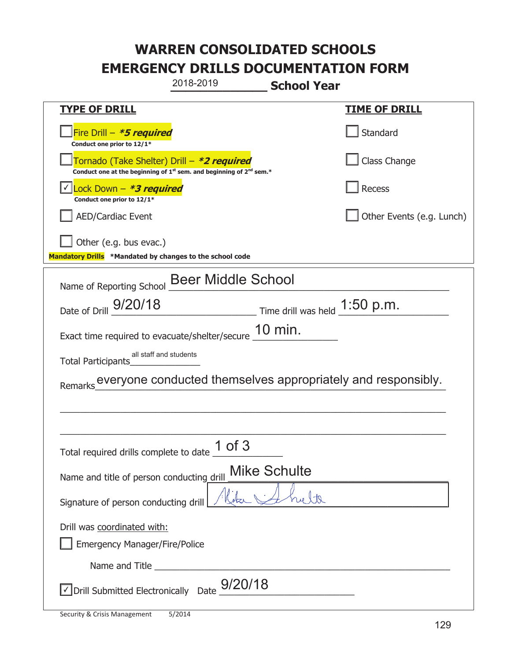|                                                                                    | 2018-2019                                                                     | <b>School Year</b>                                           |
|------------------------------------------------------------------------------------|-------------------------------------------------------------------------------|--------------------------------------------------------------|
| <u>TYPE OF DRILL</u>                                                               |                                                                               | <u>TIME OF DRILL</u>                                         |
| Fire Drill - *5 required<br>Conduct one prior to 12/1*                             |                                                                               | Standard                                                     |
| Tornado (Take Shelter) Drill – *2 required                                         | Conduct one at the beginning of $1^{st}$ sem. and beginning of $2^{nd}$ sem.* | Class Change                                                 |
| Lock Down - <b>*3 required</b><br>Conduct one prior to 12/1*                       |                                                                               | Recess                                                       |
| <b>AED/Cardiac Event</b>                                                           |                                                                               | Other Events (e.g. Lunch)                                    |
| Other (e.g. bus evac.)<br>Mandatory Drills *Mandated by changes to the school code |                                                                               |                                                              |
| Name of Reporting School                                                           | <b>Beer Middle School</b>                                                     |                                                              |
| Date of Drill 9/20/18                                                              |                                                                               | $\frac{1.50 \text{ p.m.}}{2.50 \text{ p.m.}}$                |
| Exact time required to evacuate/shelter/secure                                     | 10 min.                                                                       |                                                              |
| all staff and students<br>Total Participants                                       |                                                                               |                                                              |
| Remarks                                                                            |                                                                               | everyone conducted themselves appropriately and responsibly. |
|                                                                                    |                                                                               |                                                              |
|                                                                                    |                                                                               |                                                              |
| Total required drills complete to date                                             | $1$ of $3$                                                                    |                                                              |
| Name and title of person conducting drill                                          | <b>Mike Schulte</b>                                                           |                                                              |
| Signature of person conducting drill                                               |                                                                               |                                                              |
| Drill was coordinated with:<br><b>Emergency Manager/Fire/Police</b>                |                                                                               |                                                              |
|                                                                                    |                                                                               |                                                              |
| √ Drill Submitted Electronically Date                                              | 9/20/18                                                                       |                                                              |